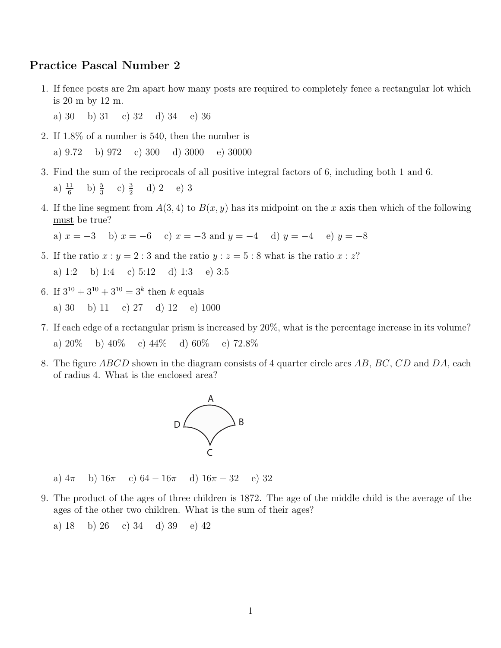## Practice Pascal Number 2

- 1. If fence posts are 2m apart how many posts are required to completely fence a rectangular lot which is 20 m by 12 m.
	- a) 30 b) 31 c) 32 d) 34 e) 36
- 2. If 1.8% of a number is 540, then the number is a) 9.72 b) 972 c) 300 d) 3000 e) 30000
- 3. Find the sum of the reciprocals of all positive integral factors of 6, including both 1 and 6. a)  $\frac{11}{6}$  b)  $\frac{5}{3}$  c)  $\frac{3}{2}$  d) 2 e) 3
- 4. If the line segment from  $A(3,4)$  to  $B(x, y)$  has its midpoint on the x axis then which of the following must be true?

a)  $x = -3$  b)  $x = -6$  c)  $x = -3$  and  $y = -4$  d)  $y = -4$  e)  $y = -8$ 

- 5. If the ratio  $x : y = 2 : 3$  and the ratio  $y : z = 5 : 8$  what is the ratio  $x : z$ ? a) 1:2 b) 1:4 c) 5:12 d) 1:3 e) 3:5
- 6. If  $3^{10} + 3^{10} + 3^{10} = 3^k$  then k equals

a) 30 b) 11 c) 27 d) 12 e) 1000

- 7. If each edge of a rectangular prism is increased by 20%, what is the percentage increase in its volume? a)  $20\%$  b)  $40\%$  c)  $44\%$  d)  $60\%$  e)  $72.8\%$
- 8. The figure ABCD shown in the diagram consists of 4 quarter circle arcs AB, BC, CD and DA, each of radius 4. What is the enclosed area?



a)  $4\pi$  b)  $16\pi$  c)  $64 - 16\pi$  d)  $16\pi - 32$  e) 32

- 9. The product of the ages of three children is 1872. The age of the middle child is the average of the ages of the other two children. What is the sum of their ages?
	- a) 18 b) 26 c) 34 d) 39 e) 42